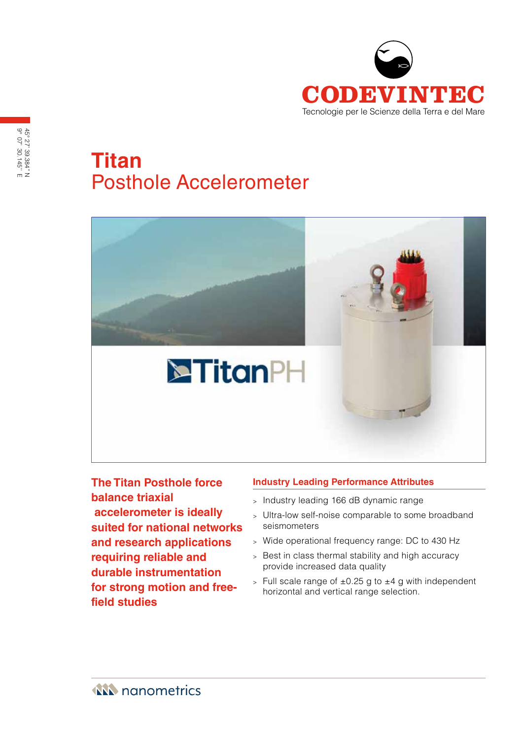

# **Titan** Posthole Accelerometer



**The Titan Posthole force balance triaxial accelerometer is ideally suited for national networks and research applications requiring reliable and durable instrumentation for strong motion and freefield studies**

# **Industry Leading Performance Attributes**

- <sup>&</sup>gt; Industry leading 166 dB dynamic range
- <sup>&</sup>gt; Ultra-low self-noise comparable to some broadband seismometers
- <sup>&</sup>gt; Wide operational frequency range: DC to 430 Hz
- <sup>&</sup>gt; Best in class thermal stability and high accuracy provide increased data quality
- $>$  Full scale range of  $\pm 0.25$  g to  $\pm 4$  g with independent horizontal and vertical range selection.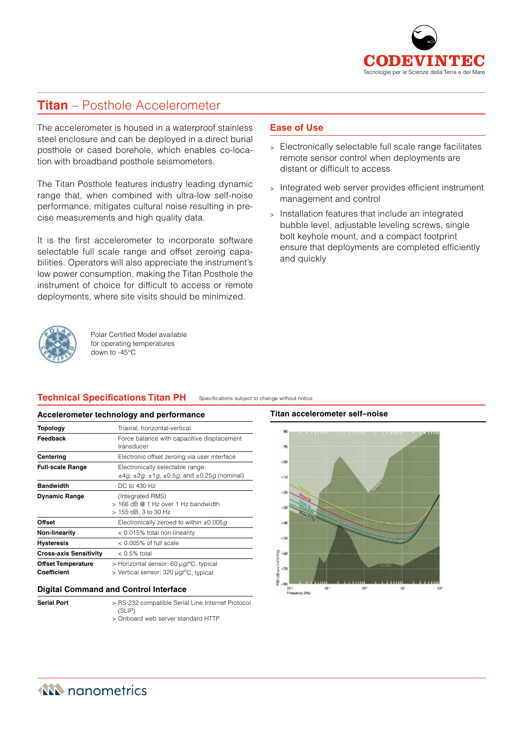

# **Titan** – Posthole Accelerometer

The accelerometer is housed in a waterproof stainless steel enclosure and can be deployed in a direct burial posthole or cased borehole, which enables co-location with broadband posthole seismometers.

The Titan Posthole features industry leading dynamic range that, when combined with ultra-low self-noise performance, mitigates cultural noise resulting in precise measurements and high quality data.

It is the first accelerometer to incorporate software selectable full scale range and offset zeroing capabilities. Operators will also appreciate the instrument's low power consumption, making the Titan Posthole the instrument of choice for difficult to access or remote deployments, where site visits should be minimized.



Polar Certified Model available for operating temperatures down to -45°C

# **Technical Specifications Titan PH**

Specifications subject to change without notice

#### **Accelerometer technology and performance**

| Topology                                 | Triaxial, horizontal-vertical                                                                               |
|------------------------------------------|-------------------------------------------------------------------------------------------------------------|
| Feedback                                 | Force balance with capacitive displacement<br>transducer                                                    |
| Centering                                | Electronic offset zeroing via user interface                                                                |
| <b>Full-scale Range</b>                  | Electronically selectable range:<br>$\pm 4g$ , $\pm 2g$ , $\pm 1g$ , $\pm 0.5g$ , and $\pm 0.25g$ (nominal) |
| <b>Bandwidth</b>                         | DC to 430 Hz                                                                                                |
| <b>Dynamic Range</b>                     | (Integrated RMS)<br>$>$ 166 dB $@$ 1 Hz over 1 Hz bandwidth<br>> 155 dB, 3 to 30 Hz                         |
| <b>Offset</b>                            | Electronically zeroed to within $\pm 0.005q$                                                                |
| <b>Non-linearity</b>                     | < 0.015% total non-linearity                                                                                |
| <b>Hysteresis</b>                        | $< 0.005\%$ of full scale                                                                                   |
| <b>Cross-axis Sensitivity</b>            | $< 0.5\%$ total                                                                                             |
| <b>Offset Temperature</b><br>Coefficient | > Horizontal sensor: 60 µg/°C, typical<br>> Vertical sensor: 320 µg/°C, typical                             |

#### **Digital Command and Control Interface**

- 
- **Serial Port** > RS-232 compatible Serial Line Internet Protocol  $(SLIP)$ 
	- > Onboard web server standard HTTP

# **Ease of Use**

- <sup>&</sup>gt; Electronically selectable full scale range facilitates remote sensor control when deployments are distant or difficult to access
- <sup>&</sup>gt; Integrated web server provides efficient instrument management and control
- <sup>&</sup>gt; Installation features that include an integrated bubble level, adjustable leveling screws, single bolt keyhole mount, and a compact footprint ensure that deployments are completed efficiently and quickly